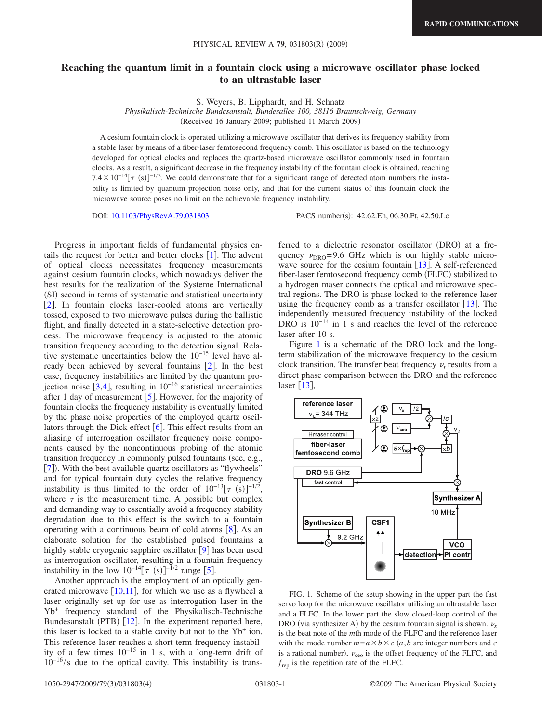## **Reaching the quantum limit in a fountain clock using a microwave oscillator phase locked to an ultrastable laser**

S. Weyers, B. Lipphardt, and H. Schnatz

*Physikalisch-Technische Bundesanstalt, Bundesallee 100, 38116 Braunschweig, Germany* (Received 16 January 2009; published 11 March 2009)

A cesium fountain clock is operated utilizing a microwave oscillator that derives its frequency stability from a stable laser by means of a fiber-laser femtosecond frequency comb. This oscillator is based on the technology developed for optical clocks and replaces the quartz-based microwave oscillator commonly used in fountain clocks. As a result, a significant decrease in the frequency instability of the fountain clock is obtained, reaching  $7.4 \times 10^{-14} [\tau \text{ (s)}]^{-1/2}$ . We could demonstrate that for a significant range of detected atom numbers the instability is limited by quantum projection noise only, and that for the current status of this fountain clock the microwave source poses no limit on the achievable frequency instability.

DOI: [10.1103/PhysRevA.79.031803](http://dx.doi.org/10.1103/PhysRevA.79.031803)

PACS number(s): 42.62.Eh, 06.30.Ft, 42.50.Lc

Progress in important fields of fundamental physics entails the request for better and better clocks  $[1]$  $[1]$  $[1]$ . The advent of optical clocks necessitates frequency measurements against cesium fountain clocks, which nowadays deliver the best results for the realization of the Systeme International (SI) second in terms of systematic and statistical uncertainty [[2](#page-3-1)]. In fountain clocks laser-cooled atoms are vertically tossed, exposed to two microwave pulses during the ballistic flight, and finally detected in a state-selective detection process. The microwave frequency is adjusted to the atomic transition frequency according to the detection signal. Relative systematic uncertainties below the 10−15 level have already been achieved by several fountains  $[2]$  $[2]$  $[2]$ . In the best case, frequency instabilities are limited by the quantum projection noise  $[3,4]$  $[3,4]$  $[3,4]$  $[3,4]$ , resulting in 10<sup>-16</sup> statistical uncertainties after 1 day of measurement  $[5]$  $[5]$  $[5]$ . However, for the majority of fountain clocks the frequency instability is eventually limited by the phase noise properties of the employed quartz oscillators through the Dick effect  $\lceil 6 \rceil$  $\lceil 6 \rceil$  $\lceil 6 \rceil$ . This effect results from an aliasing of interrogation oscillator frequency noise components caused by the noncontinuous probing of the atomic transition frequency in commonly pulsed fountains (see, e.g., [[7](#page-3-6)]). With the best available quartz oscillators as "flywheels" and for typical fountain duty cycles the relative frequency instability is thus limited to the order of  $10^{-13}[\tau(s)]^{-1/2}$ , where  $\tau$  is the measurement time. A possible but complex and demanding way to essentially avoid a frequency stability degradation due to this effect is the switch to a fountain operating with a continuous beam of cold atoms  $[8]$  $[8]$  $[8]$ . As an elaborate solution for the established pulsed fountains a highly stable cryogenic sapphire oscillator [[9](#page-3-8)] has been used as interrogation oscillator, resulting in a fountain frequency instability in the low  $10^{-14} [\tau (s)]^{-1/2}$  range [[5](#page-3-4)].

Another approach is the employment of an optically generated microwave  $[10,11]$  $[10,11]$  $[10,11]$  $[10,11]$ , for which we use as a flywheel a laser originally set up for use as interrogation laser in the Yb+ frequency standard of the Physikalisch-Technische Bundesanstalt (PTB) [[12](#page-3-11)]. In the experiment reported here, this laser is locked to a stable cavity but not to the Yb+ ion. This reference laser reaches a short-term frequency instability of a few times  $10^{-15}$  in 1 s, with a long-term drift of  $10^{-16}/s$  due to the optical cavity. This instability is trans-

ferred to a dielectric resonator oscillator (DRO) at a frequency  $v_{\text{DRO}} = 9.6$  GHz which is our highly stable microwave source for the cesium fountain  $[13]$  $[13]$  $[13]$ . A self-referenced fiber-laser femtosecond frequency comb (FLFC) stabilized to a hydrogen maser connects the optical and microwave spectral regions. The DRO is phase locked to the reference laser using the frequency comb as a transfer oscillator  $[13]$  $[13]$  $[13]$ . The independently measured frequency instability of the locked DRO is  $10^{-14}$  in 1 s and reaches the level of the reference laser after 10 s.

Figure [1](#page-0-0) is a schematic of the DRO lock and the longterm stabilization of the microwave frequency to the cesium clock transition. The transfer beat frequency  $\nu_t$  results from a direct phase comparison between the DRO and the reference laser  $\lceil 13 \rceil$  $\lceil 13 \rceil$  $\lceil 13 \rceil$ ,

<span id="page-0-0"></span>

FIG. 1. Scheme of the setup showing in the upper part the fast servo loop for the microwave oscillator utilizing an ultrastable laser and a FLFC. In the lower part the slow closed-loop control of the DRO (via synthesizer A) by the cesium fountain signal is shown.  $\nu_x$ is the beat note of the *m*th mode of the FLFC and the reference laser with the mode number  $m=a \times b \times c$  (*a*,*b* are integer numbers and *c* is a rational number),  $v_{\text{ceo}}$  is the offset frequency of the FLFC, and *f*rep is the repetition rate of the FLFC.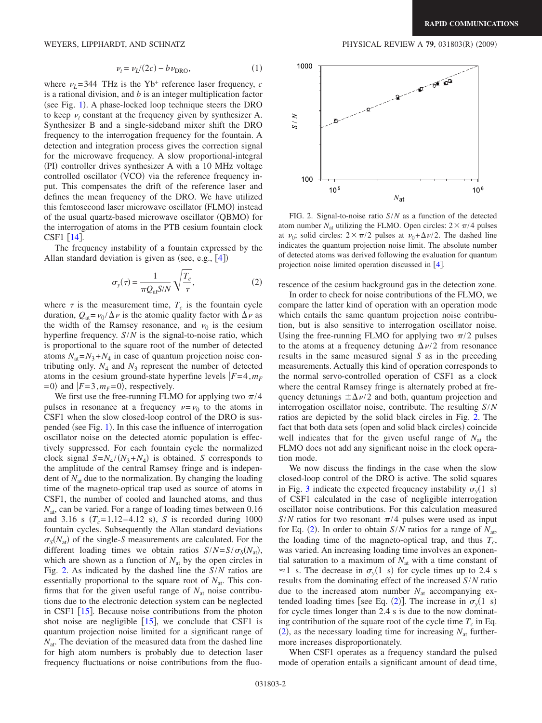$$
\nu_t = \nu_L/(2c) - b \nu_{\text{DRO}},\tag{1}
$$

where  $\nu_L$ = 344 THz is the Yb<sup>+</sup> reference laser frequency, *c* is a rational division, and *b* is an integer multiplication factor (see Fig. [1](#page-0-0)). A phase-locked loop technique steers the DRO to keep  $\nu_t$  constant at the frequency given by synthesizer A. Synthesizer B and a single-sideband mixer shift the DRO frequency to the interrogation frequency for the fountain. A detection and integration process gives the correction signal for the microwave frequency. A slow proportional-integral (PI) controller drives synthesizer A with a 10 MHz voltage controlled oscillator (VCO) via the reference frequency input. This compensates the drift of the reference laser and defines the mean frequency of the DRO. We have utilized this femtosecond laser microwave oscillator (FLMO) instead of the usual quartz-based microwave oscillator (QBMO) for the interrogation of atoms in the PTB cesium fountain clock  $CSF1$  [[14](#page-3-13)].

The frequency instability of a fountain expressed by the Allan standard deviation is given as (see, e.g.,  $[4]$  $[4]$  $[4]$ )

$$
\sigma_{y}(\tau) = \frac{1}{\pi Q_{\text{at}} S/N} \sqrt{\frac{T_c}{\tau}},
$$
\n(2)

<span id="page-1-1"></span>where  $\tau$  is the measurement time,  $T_c$  is the fountain cycle duration,  $Q_{at} = v_0 / \Delta \nu$  is the atomic quality factor with  $\Delta \nu$  as the width of the Ramsey resonance, and  $\nu_0$  is the cesium hyperfine frequency. *S*/*N* is the signal-to-noise ratio, which is proportional to the square root of the number of detected atoms  $N_{at}=N_3+N_4$  in case of quantum projection noise contributing only.  $N_4$  and  $N_3$  represent the number of detected atoms in the cesium ground-state hyperfine levels  $|F=4, m_F$  $= 0$  and  $|F=3, m_F=0$ , respectively.

We first use the free-running FLMO for applying two  $\pi/4$ pulses in resonance at a frequency  $\nu = \nu_0$  to the atoms in CSF1 when the slow closed-loop control of the DRO is sus-pended (see Fig. [1](#page-0-0)). In this case the influence of interrogation oscillator noise on the detected atomic population is effectively suppressed. For each fountain cycle the normalized clock signal  $S = N_4 / (N_3 + N_4)$  is obtained. *S* corresponds to the amplitude of the central Ramsey fringe and is independent of *N*at due to the normalization. By changing the loading time of the magneto-optical trap used as source of atoms in CSF1, the number of cooled and launched atoms, and thus *N*at, can be varied. For a range of loading times between 0.16 and 3.16 s  $(T_c=1.12-4.12 \text{ s})$ , *S* is recorded during 1000 fountain cycles. Subsequently the Allan standard deviations  $\sigma_S(N_{at})$  of the single-*S* measurements are calculated. For the different loading times we obtain ratios  $S/N = S/\sigma_S(N_{at})$ , which are shown as a function of  $N<sub>at</sub>$  by the open circles in Fig. [2.](#page-1-0) As indicated by the dashed line the *S*/*N* ratios are essentially proportional to the square root of  $N_{at}$ . This confirms that for the given useful range of  $N_{at}$  noise contributions due to the electronic detection system can be neglected in CSF1  $[15]$  $[15]$  $[15]$ . Because noise contributions from the photon shot noise are negligible  $[15]$  $[15]$  $[15]$ , we conclude that CSF1 is quantum projection noise limited for a significant range of  $N<sub>at</sub>$ . The deviation of the measured data from the dashed line for high atom numbers is probably due to detection laser frequency fluctuations or noise contributions from the fluo-

WEYERS, LIPPHARDT, AND SCHNATZ **PHYSICAL REVIEW A 79**, 031803(R) (2009)

<span id="page-1-0"></span>

FIG. 2. Signal-to-noise ratio *S*/*N* as a function of the detected atom number  $N_{\text{at}}$  utilizing the FLMO. Open circles:  $2 \times \pi/4$  pulses at  $\nu_0$ ; solid circles:  $2 \times \pi/2$  pulses at  $\nu_0 + \Delta \nu/2$ . The dashed line indicates the quantum projection noise limit. The absolute number of detected atoms was derived following the evaluation for quantum projection noise limited operation discussed in  $[4]$  $[4]$  $[4]$ .

rescence of the cesium background gas in the detection zone.

In order to check for noise contributions of the FLMO, we compare the latter kind of operation with an operation mode which entails the same quantum projection noise contribution, but is also sensitive to interrogation oscillator noise. Using the free-running FLMO for applying two  $\pi/2$  pulses to the atoms at a frequency detuning  $\Delta \nu/2$  from resonance results in the same measured signal *S* as in the preceding measurements. Actually this kind of operation corresponds to the normal servo-controlled operation of CSF1 as a clock where the central Ramsey fringe is alternately probed at frequency detunings  $\pm \Delta \nu/2$  and both, quantum projection and interrogation oscillator noise, contribute. The resulting *S*/*N* ratios are depicted by the solid black circles in Fig. [2.](#page-1-0) The fact that both data sets (open and solid black circles) coincide well indicates that for the given useful range of  $N<sub>at</sub>$  the FLMO does not add any significant noise in the clock operation mode.

We now discuss the findings in the case when the slow closed-loop control of the DRO is active. The solid squares in Fig. [3](#page-2-0) indicate the expected frequency instability  $\sigma_y(1 \text{ s})$ of CSF1 calculated in the case of negligible interrogation oscillator noise contributions. For this calculation measured *S*/*N* ratios for two resonant  $\pi$ /4 pulses were used as input for Eq. ([2](#page-1-1)). In order to obtain  $S/N$  ratios for a range of  $N_{at}$ , the loading time of the magneto-optical trap, and thus  $T_c$ , was varied. An increasing loading time involves an exponential saturation to a maximum of  $N_{at}$  with a time constant of  $\approx$ 1 s. The decrease in  $\sigma_y(1 \text{ s})$  for cycle times up to 2.4 s results from the dominating effect of the increased *S*/*N* ratio due to the increased atom number  $N_{at}$  accompanying ex-tended loading times [see Eq. ([2](#page-1-1))]. The increase in  $\sigma_y(1 \text{ s})$ for cycle times longer than 2.4 s is due to the now dominating contribution of the square root of the cycle time  $T_c$  in Eq.  $(2)$  $(2)$  $(2)$ , as the necessary loading time for increasing  $N_{at}$  furthermore increases disproportionately.

When CSF1 operates as a frequency standard the pulsed mode of operation entails a significant amount of dead time,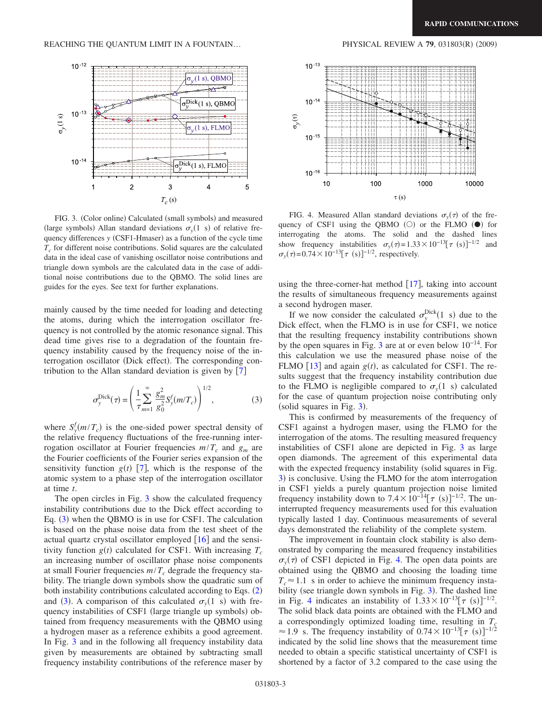<span id="page-2-0"></span>

FIG. 3. (Color online) Calculated (small symbols) and measured (large symbols) Allan standard deviations  $\sigma_y(1 \text{ s})$  of relative frequency differences *y* (CSF1-Hmaser) as a function of the cycle time  $T_c$  for different noise contributions. Solid squares are the calculated data in the ideal case of vanishing oscillator noise contributions and triangle down symbols are the calculated data in the case of additional noise contributions due to the QBMO. The solid lines are guides for the eyes. See text for further explanations.

mainly caused by the time needed for loading and detecting the atoms, during which the interrogation oscillator frequency is not controlled by the atomic resonance signal. This dead time gives rise to a degradation of the fountain frequency instability caused by the frequency noise of the interrogation oscillator (Dick effect). The corresponding contribution to the Allan standard deviation is given by  $[7]$  $[7]$  $[7]$ 

$$
\sigma_{y}^{\text{Dick}}(\tau) = \left(\frac{1}{\tau} \sum_{m=1}^{\infty} \frac{g_m^2}{g_0^2} S_{y}^f(m/T_c)\right)^{1/2},
$$
 (3)

<span id="page-2-1"></span>where  $S_y^f(m/T_c)$  is the one-sided power spectral density of the relative frequency fluctuations of the free-running interrogation oscillator at Fourier frequencies  $m/T_c$  and  $g_m$  are the Fourier coefficients of the Fourier series expansion of the sensitivity function  $g(t)$  [[7](#page-3-6)], which is the response of the atomic system to a phase step of the interrogation oscillator at time *t*.

The open circles in Fig. [3](#page-2-0) show the calculated frequency instability contributions due to the Dick effect according to Eq. ([3](#page-2-1)) when the QBMO is in use for CSF1. The calculation is based on the phase noise data from the test sheet of the actual quartz crystal oscillator employed  $\lceil 16 \rceil$  $\lceil 16 \rceil$  $\lceil 16 \rceil$  and the sensitivity function  $g(t)$  calculated for CSF1. With increasing  $T_c$ an increasing number of oscillator phase noise components at small Fourier frequencies  $m/T_c$  degrade the frequency stability. The triangle down symbols show the quadratic sum of both instability contributions calculated according to Eqs. ([2](#page-1-1)) and ([3](#page-2-1)). A comparison of this calculated  $\sigma_y(1 \text{ s})$  with frequency instabilities of CSF1 (large triangle up symbols) obtained from frequency measurements with the QBMO using a hydrogen maser as a reference exhibits a good agreement. In Fig. [3](#page-2-0) and in the following all frequency instability data given by measurements are obtained by subtracting small frequency instability contributions of the reference maser by

 $(2009)$ 

<span id="page-2-2"></span>

FIG. 4. Measured Allan standard deviations  $\sigma_y(\tau)$  of the frequency of CSF1 using the QBMO  $(O)$  or the FLMO  $(O)$  for interrogating the atoms. The solid and the dashed lines show frequency instabilities  $\sigma_y(\tau) = 1.33 \times 10^{-13} [\tau \text{ (s)}]^{-1/2}$  and  $\sigma_y(\tau) = 0.74 \times 10^{-13} [\tau \text{ (s)}]^{-1/2}$ , respectively.

using the three-corner-hat method  $[17]$  $[17]$  $[17]$ , taking into account the results of simultaneous frequency measurements against a second hydrogen maser.

If we now consider the calculated  $\sigma_{y}^{\text{Dick}}(1 \text{ s})$  due to the Dick effect, when the FLMO is in use for CSF1, we notice that the resulting frequency instability contributions shown by the open squares in Fig. [3](#page-2-0) are at or even below  $10^{-14}$ . For this calculation we use the measured phase noise of the FLMO [[13](#page-3-12)] and again  $g(t)$ , as calculated for CSF1. The results suggest that the frequency instability contribution due to the FLMO is negligible compared to  $\sigma_y(1 \text{ s})$  calculated for the case of quantum projection noise contributing only  $(solid squares in Fig. 3).$  $(solid squares in Fig. 3).$  $(solid squares in Fig. 3).$ 

This is confirmed by measurements of the frequency of CSF1 against a hydrogen maser, using the FLMO for the interrogation of the atoms. The resulting measured frequency instabilities of CSF1 alone are depicted in Fig. [3](#page-2-0) as large open diamonds. The agreement of this experimental data with the expected frequency instability (solid squares in Fig. [3](#page-2-0)) is conclusive. Using the FLMO for the atom interrogation in CSF1 yields a purely quantum projection noise limited frequency instability down to  $7.4 \times 10^{-14} [\tau \text{ (s)}]^{-1/2}$ . The uninterrupted frequency measurements used for this evaluation typically lasted 1 day. Continuous measurements of several days demonstrated the reliability of the complete system.

The improvement in fountain clock stability is also demonstrated by comparing the measured frequency instabilities  $\sigma_y(\tau)$  of CSF1 depicted in Fig. [4.](#page-2-2) The open data points are obtained using the QBMO and choosing the loading time  $T_c \approx 1.1$  s in order to achieve the minimum frequency insta-bility (see triangle down symbols in Fig. [3](#page-2-0)). The dashed line in Fig. [4](#page-2-2) indicates an instability of  $1.33 \times 10^{-13} [\tau (s)]^{-1/2}$ . The solid black data points are obtained with the FLMO and a correspondingly optimized loading time, resulting in  $T_c$ ≈ 1.9 s. The frequency instability of  $0.74 \times 10^{-13} [\tau (s)]^{-1/2}$ indicated by the solid line shows that the measurement time needed to obtain a specific statistical uncertainty of CSF1 is shortened by a factor of 3.2 compared to the case using the